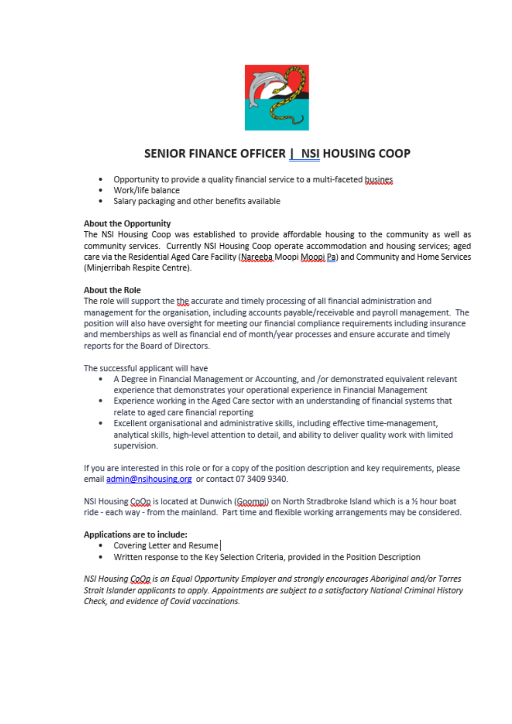

# SENIOR FINANCE OFFICER | NSI HOUSING COOP

- Opportunity to provide a quality financial service to a multi-faceted busines.  $\bullet$
- Work/life balance ٠
- Salary packaging and other benefits available

## **About the Opportunity**

The NSI Housing Coop was established to provide affordable housing to the community as well as community services. Currently NSI Housing Coop operate accommodation and housing services; aged care via the Residential Aged Care Facility (Nareeba Moopi Moopi Pa) and Community and Home Services (Minjerribah Respite Centre).

#### **About the Role**

The role will support the the accurate and timely processing of all financial administration and management for the organisation, including accounts payable/receivable and payroll management. The position will also have oversight for meeting our financial compliance requirements including insurance and memberships as well as financial end of month/year processes and ensure accurate and timely reports for the Board of Directors.

The successful applicant will have

- A Degree in Financial Management or Accounting, and /or demonstrated equivalent relevant experience that demonstrates your operational experience in Financial Management
- Experience working in the Aged Care sector with an understanding of financial systems that relate to aged care financial reporting
- Excellent organisational and administrative skills, including effective time-management, analytical skills, high-level attention to detail, and ability to deliver quality work with limited supervision.

If you are interested in this role or for a copy of the position description and key requirements, please email admin@nsihousing.org or contact 07 3409 9340.

NSI Housing CoOp is located at Dunwich (Goompi) on North Stradbroke Island which is a 1/2 hour boat ride - each way - from the mainland. Part time and flexible working arrangements may be considered.

#### Applications are to include:

- Covering Letter and Resume
- Written response to the Key Selection Criteria, provided in the Position Description

NSI Housing CoOp is an Equal Opportunity Employer and strongly encourages Aboriginal and/or Torres Strait Islander applicants to apply. Appointments are subject to a satisfactory National Criminal History Check, and evidence of Covid vaccinations.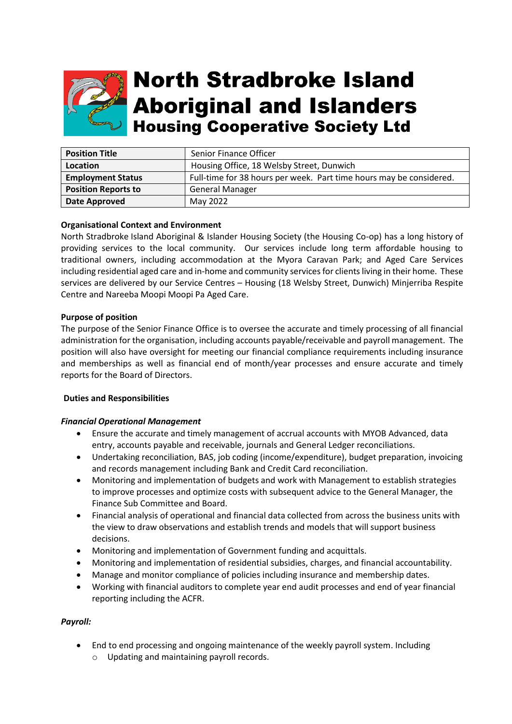

# **North Stradbroke Island Aboriginal and Islanders Housing Cooperative Society Ltd**

| <b>Position Title</b>      | Senior Finance Officer                                              |
|----------------------------|---------------------------------------------------------------------|
| Location                   | Housing Office, 18 Welsby Street, Dunwich                           |
| <b>Employment Status</b>   | Full-time for 38 hours per week. Part time hours may be considered. |
| <b>Position Reports to</b> | <b>General Manager</b>                                              |
| Date Approved              | May 2022                                                            |

## **Organisational Context and Environment**

North Stradbroke Island Aboriginal & Islander Housing Society (the Housing Co-op) has a long history of providing services to the local community. Our services include long term affordable housing to traditional owners, including accommodation at the Myora Caravan Park; and Aged Care Services including residential aged care and in-home and community services for clients living in their home. These services are delivered by our Service Centres – Housing (18 Welsby Street, Dunwich) Minjerriba Respite Centre and Nareeba Moopi Moopi Pa Aged Care.

#### **Purpose of position**

The purpose of the Senior Finance Office is to oversee the accurate and timely processing of all financial administration for the organisation, including accounts payable/receivable and payroll management. The position will also have oversight for meeting our financial compliance requirements including insurance and memberships as well as financial end of month/year processes and ensure accurate and timely reports for the Board of Directors.

#### **Duties and Responsibilities**

#### *Financial Operational Management*

- Ensure the accurate and timely management of accrual accounts with MYOB Advanced, data entry, accounts payable and receivable, journals and General Ledger reconciliations.
- Undertaking reconciliation, BAS, job coding (income/expenditure), budget preparation, invoicing and records management including Bank and Credit Card reconciliation.
- Monitoring and implementation of budgets and work with Management to establish strategies to improve processes and optimize costs with subsequent advice to the General Manager, the Finance Sub Committee and Board.
- Financial analysis of operational and financial data collected from across the business units with the view to draw observations and establish trends and models that will support business decisions.
- Monitoring and implementation of Government funding and acquittals.
- Monitoring and implementation of residential subsidies, charges, and financial accountability.
- Manage and monitor compliance of policies including insurance and membership dates.
- Working with financial auditors to complete year end audit processes and end of year financial reporting including the ACFR.

#### *Payroll:*

- End to end processing and ongoing maintenance of the weekly payroll system. Including
	- o Updating and maintaining payroll records.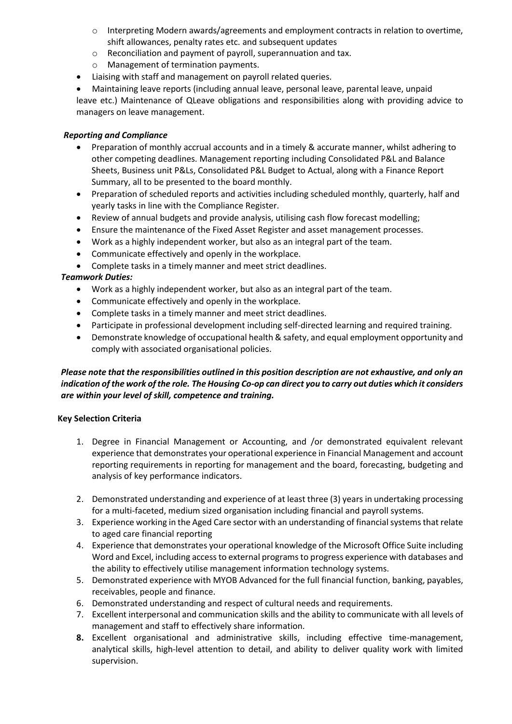- $\circ$  Interpreting Modern awards/agreements and employment contracts in relation to overtime, shift allowances, penalty rates etc. and subsequent updates
- o Reconciliation and payment of payroll, superannuation and tax.
- o Management of termination payments.
- Liaising with staff and management on payroll related queries.
- Maintaining leave reports (including annual leave, personal leave, parental leave, unpaid

leave etc.) Maintenance of QLeave obligations and responsibilities along with providing advice to managers on leave management.

# *Reporting and Compliance*

- Preparation of monthly accrual accounts and in a timely & accurate manner, whilst adhering to other competing deadlines. Management reporting including Consolidated P&L and Balance Sheets, Business unit P&Ls, Consolidated P&L Budget to Actual, along with a Finance Report Summary, all to be presented to the board monthly.
- Preparation of scheduled reports and activities including scheduled monthly, quarterly, half and yearly tasks in line with the Compliance Register.
- Review of annual budgets and provide analysis, utilising cash flow forecast modelling;
- Ensure the maintenance of the Fixed Asset Register and asset management processes.
- Work as a highly independent worker, but also as an integral part of the team.
- Communicate effectively and openly in the workplace.
- Complete tasks in a timely manner and meet strict deadlines.

# *Teamwork Duties:*

- Work as a highly independent worker, but also as an integral part of the team.
- Communicate effectively and openly in the workplace.
- Complete tasks in a timely manner and meet strict deadlines.
- Participate in professional development including self-directed learning and required training.
- Demonstrate knowledge of occupational health & safety, and equal employment opportunity and comply with associated organisational policies.

# *Please note that the responsibilities outlined in this position description are not exhaustive, and only an indication of the work of the role. The Housing Co-op can direct you to carry out duties which it considers are within your level of skill, competence and training.*

# **Key Selection Criteria**

- 1. Degree in Financial Management or Accounting, and /or demonstrated equivalent relevant experience that demonstrates your operational experience in Financial Management and account reporting requirements in reporting for management and the board, forecasting, budgeting and analysis of key performance indicators.
- 2. Demonstrated understanding and experience of at least three (3) years in undertaking processing for a multi-faceted, medium sized organisation including financial and payroll systems.
- 3. Experience working in the Aged Care sector with an understanding of financial systems that relate to aged care financial reporting
- 4. Experience that demonstrates your operational knowledge of the Microsoft Office Suite including Word and Excel, including access to external programs to progress experience with databases and the ability to effectively utilise management information technology systems.
- 5. Demonstrated experience with MYOB Advanced for the full financial function, banking, payables, receivables, people and finance.
- 6. Demonstrated understanding and respect of cultural needs and requirements.
- 7. Excellent interpersonal and communication skills and the ability to communicate with all levels of management and staff to effectively share information.
- **8.** Excellent organisational and administrative skills, including effective time-management, analytical skills, high-level attention to detail, and ability to deliver quality work with limited supervision.